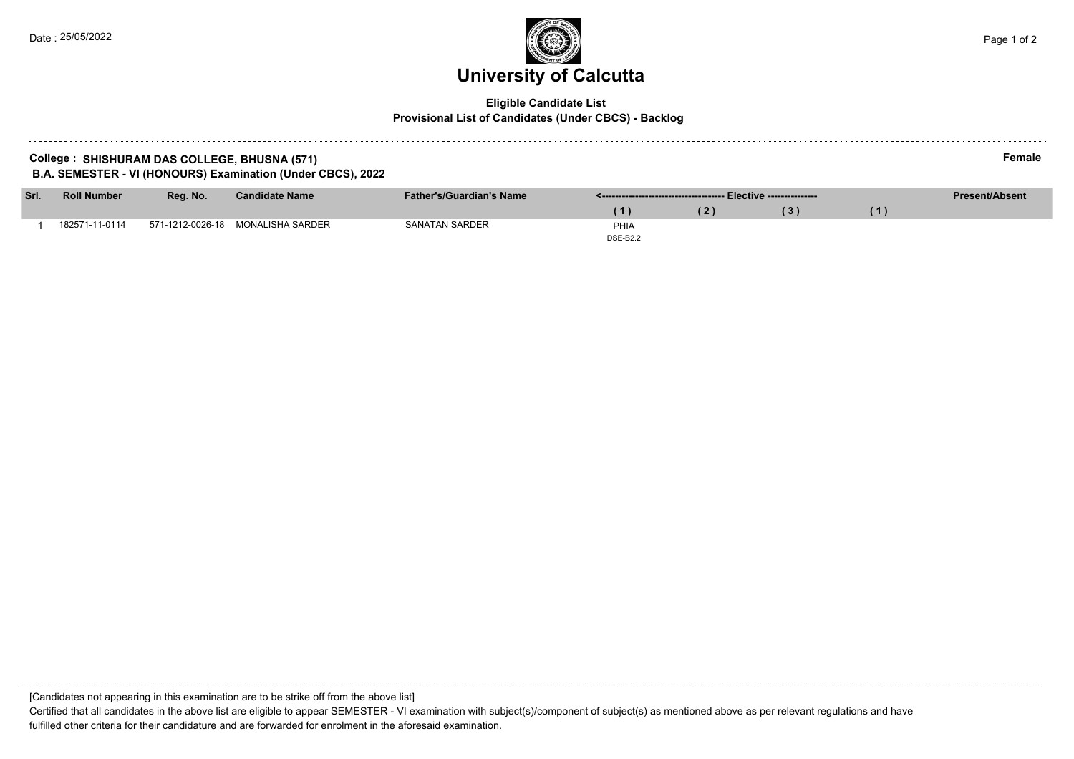# **University of Calcutta**

## **Eligible Candidate List Provisional List of Candidates (Under CBCS) - Backlog**

## **College : SHISHURAM DAS COLLEGE, BHUSNA (571) Female B.A. SEMESTER - VI (HONOURS) Examination (Under CBCS), 2022**

| Srl. | <b>Roll Number</b> | Reg. No.         | <b>Candidate Name</b> | <b>Father's/Guardian's Name</b> |                 |  |     |  | <b>Present/Absent</b> |
|------|--------------------|------------------|-----------------------|---------------------------------|-----------------|--|-----|--|-----------------------|
|      |                    |                  |                       |                                 |                 |  | '3) |  |                       |
|      | 182571-11-0114     | 571-1212-0026-18 | MONALISHA SARDER      | SANATAN SARDER                  | PHIA            |  |     |  |                       |
|      |                    |                  |                       |                                 | <b>DSE-B2.2</b> |  |     |  |                       |

[Candidates not appearing in this examination are to be strike off from the above list]

Certified that all candidates in the above list are eligible to appear SEMESTER - VI examination with subject(s)/component of subject(s) as mentioned above as per relevant regulations and have fulfilled other criteria for their candidature and are forwarded for enrolment in the aforesaid examination.